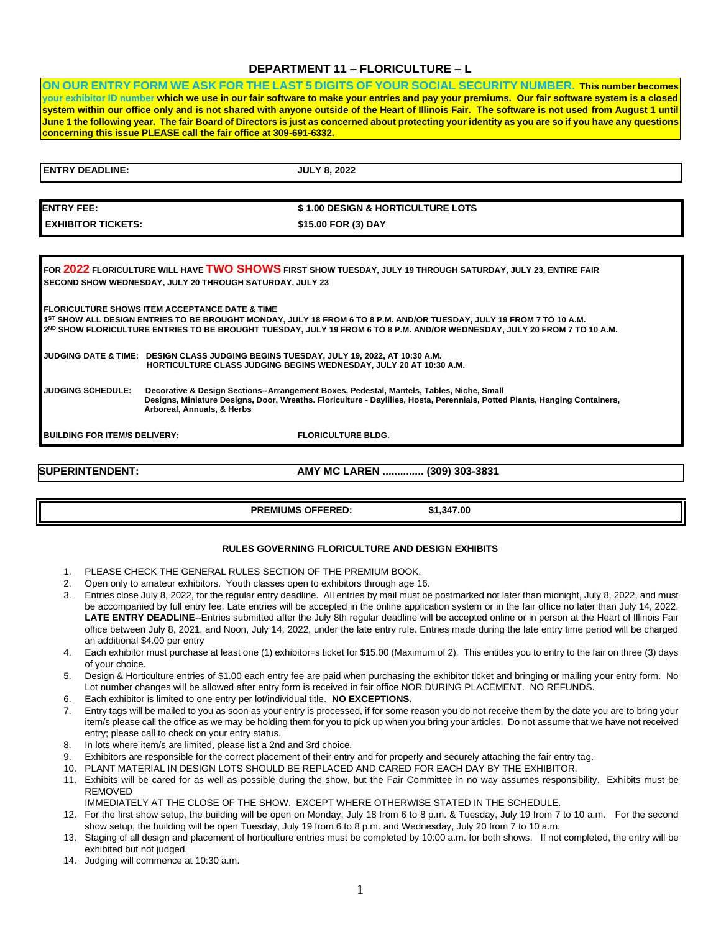### **DEPARTMENT 11 – FLORICULTURE – L**

**ON OUR ENTRY FORM WE ASK FOR THE LAST 5 DIGITS OF YOUR SOCIAL SECURITY NUMBER. This number becomes your exhibitor ID number which we use in our fair software to make your entries and pay your premiums. Our fair software system is a closed system within our office only and is not shared with anyone outside of the Heart of Illinois Fair. The software is not used from August 1 until June 1 the following year. The fair Board of Directors is just as concerned about protecting your identity as you are so if you have any questions concerning this issue PLEASE call the fair office at 309-691-6332.** 

| <b>ENTRY DEADLINE:</b>               | <b>JULY 8, 2022</b>                                                                                                                                                                                                                                                                                            |
|--------------------------------------|----------------------------------------------------------------------------------------------------------------------------------------------------------------------------------------------------------------------------------------------------------------------------------------------------------------|
|                                      |                                                                                                                                                                                                                                                                                                                |
| <b>ENTRY FEE:</b>                    | \$1.00 DESIGN & HORTICULTURE LOTS                                                                                                                                                                                                                                                                              |
| <b>EXHIBITOR TICKETS:</b>            | \$15.00 FOR (3) DAY                                                                                                                                                                                                                                                                                            |
|                                      |                                                                                                                                                                                                                                                                                                                |
|                                      | FOR 2022 FLORICULTURE WILL HAVE TWO SHOWS FIRST SHOW TUESDAY, JULY 19 THROUGH SATURDAY, JULY 23, ENTIRE FAIR<br>SECOND SHOW WEDNESDAY, JULY 20 THROUGH SATURDAY, JULY 23                                                                                                                                       |
|                                      | <b>FLORICULTURE SHOWS ITEM ACCEPTANCE DATE &amp; TIME</b><br>15T SHOW ALL DESIGN ENTRIES TO BE BROUGHT MONDAY, JULY 18 FROM 6 TO 8 P.M. AND/OR TUESDAY, JULY 19 FROM 7 TO 10 A.M.<br>2ND SHOW FLORICULTURE ENTRIES TO BE BROUGHT TUESDAY, JULY 19 FROM 6 TO 8 P.M. AND/OR WEDNESDAY, JULY 20 FROM 7 TO 10 A.M. |
|                                      | JUDGING DATE & TIME: DESIGN CLASS JUDGING BEGINS TUESDAY, JULY 19, 2022, AT 10:30 A.M.<br><b>HORTICULTURE CLASS JUDGING BEGINS WEDNESDAY, JULY 20 AT 10:30 A.M.</b>                                                                                                                                            |
| <b>JUDGING SCHEDULE:</b>             | Decorative & Design Sections--Arrangement Boxes, Pedestal, Mantels, Tables, Niche, Small<br>Designs, Miniature Designs, Door, Wreaths. Floriculture - Daylilies, Hosta, Perennials, Potted Plants, Hanging Containers,<br>Arboreal, Annuals, & Herbs                                                           |
| <b>BUILDING FOR ITEM/S DELIVERY:</b> | <b>FLORICULTURE BLDG.</b>                                                                                                                                                                                                                                                                                      |

**SUPERINTENDENT: AMY MC LAREN .............. (309) 303-3831** 

**PREMIUMS OFFERED: \$1,347.00** 

### **RULES GOVERNING FLORICULTURE AND DESIGN EXHIBITS**

- 1. PLEASE CHECK THE GENERAL RULES SECTION OF THE PREMIUM BOOK.
- 2. Open only to amateur exhibitors. Youth classes open to exhibitors through age 16.
- 3. Entries close July 8, 2022, for the regular entry deadline. All entries by mail must be postmarked not later than midnight, July 8, 2022, and must be accompanied by full entry fee. Late entries will be accepted in the online application system or in the fair office no later than July 14, 2022. LATE ENTRY DEADLINE--Entries submitted after the July 8th regular deadline will be accepted online or in person at the Heart of Illinois Fair office between July 8, 2021, and Noon, July 14, 2022, under the late entry rule. Entries made during the late entry time period will be charged an additional \$4.00 per entry
- 4. Each exhibitor must purchase at least one (1) exhibitor=s ticket for \$15.00 (Maximum of 2). This entitles you to entry to the fair on three (3) days of your choice.
- 5. Design & Horticulture entries of \$1.00 each entry fee are paid when purchasing the exhibitor ticket and bringing or mailing your entry form. No Lot number changes will be allowed after entry form is received in fair office NOR DURING PLACEMENT. NO REFUNDS.
- 6. Each exhibitor is limited to one entry per lot/individual title. **NO EXCEPTIONS.**
- 7. Entry tags will be mailed to you as soon as your entry is processed, if for some reason you do not receive them by the date you are to bring your item/s please call the office as we may be holding them for you to pick up when you bring your articles. Do not assume that we have not received entry; please call to check on your entry status.
- 8. In lots where item/s are limited, please list a 2nd and 3rd choice.
- 9. Exhibitors are responsible for the correct placement of their entry and for properly and securely attaching the fair entry tag.
- 10. PLANT MATERIAL IN DESIGN LOTS SHOULD BE REPLACED AND CARED FOR EACH DAY BY THE EXHIBITOR.
- 11. Exhibits will be cared for as well as possible during the show, but the Fair Committee in no way assumes responsibility. Exhibits must be REMOVED

IMMEDIATELY AT THE CLOSE OF THE SHOW. EXCEPT WHERE OTHERWISE STATED IN THE SCHEDULE.

- 12. For the first show setup, the building will be open on Monday, July 18 from 6 to 8 p.m. & Tuesday, July 19 from 7 to 10 a.m. For the second show setup, the building will be open Tuesday, July 19 from 6 to 8 p.m. and Wednesday, July 20 from 7 to 10 a.m.
- 13. Staging of all design and placement of horticulture entries must be completed by 10:00 a.m. for both shows. If not completed, the entry will be exhibited but not judged.
- 14. Judging will commence at 10:30 a.m.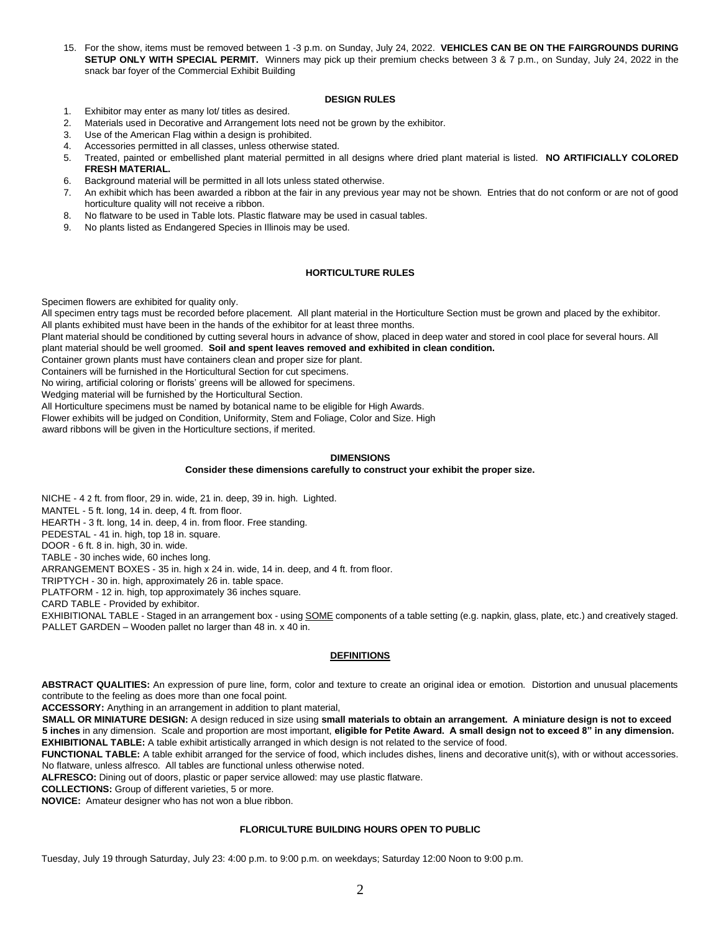15. For the show, items must be removed between 1 -3 p.m. on Sunday, July 24, 2022. **VEHICLES CAN BE ON THE FAIRGROUNDS DURING SETUP ONLY WITH SPECIAL PERMIT.** Winners may pick up their premium checks between 3 & 7 p.m., on Sunday, July 24, 2022 in the snack bar foyer of the Commercial Exhibit Building

### **DESIGN RULES**

- 1. Exhibitor may enter as many lot/ titles as desired.
- 2. Materials used in Decorative and Arrangement lots need not be grown by the exhibitor.
- 3. Use of the American Flag within a design is prohibited.
- 4. Accessories permitted in all classes, unless otherwise stated.
- 5. Treated, painted or embellished plant material permitted in all designs where dried plant material is listed. **NO ARTIFICIALLY COLORED FRESH MATERIAL.**
- 6. Background material will be permitted in all lots unless stated otherwise.
- 7. An exhibit which has been awarded a ribbon at the fair in any previous year may not be shown. Entries that do not conform or are not of good horticulture quality will not receive a ribbon.
- 8. No flatware to be used in Table lots. Plastic flatware may be used in casual tables.
- 9. No plants listed as Endangered Species in Illinois may be used.

### **HORTICULTURE RULES**

Specimen flowers are exhibited for quality only.

All specimen entry tags must be recorded before placement. All plant material in the Horticulture Section must be grown and placed by the exhibitor. All plants exhibited must have been in the hands of the exhibitor for at least three months.

Plant material should be conditioned by cutting several hours in advance of show, placed in deep water and stored in cool place for several hours. All plant material should be well groomed. **Soil and spent leaves removed and exhibited in clean condition.** 

Container grown plants must have containers clean and proper size for plant.

Containers will be furnished in the Horticultural Section for cut specimens.

No wiring, artificial coloring or florists' greens will be allowed for specimens.

Wedging material will be furnished by the Horticultural Section.

All Horticulture specimens must be named by botanical name to be eligible for High Awards.

Flower exhibits will be judged on Condition, Uniformity, Stem and Foliage, Color and Size. High

award ribbons will be given in the Horticulture sections, if merited.

### **DIMENSIONS**

#### **Consider these dimensions carefully to construct your exhibit the proper size.**

NICHE - 4 2 ft. from floor, 29 in. wide, 21 in. deep, 39 in. high. Lighted.

MANTEL - 5 ft. long, 14 in. deep, 4 ft. from floor.

HEARTH - 3 ft. long, 14 in. deep, 4 in. from floor. Free standing.

PEDESTAL - 41 in. high, top 18 in. square.

DOOR - 6 ft. 8 in. high, 30 in. wide.

TABLE - 30 inches wide, 60 inches long.

ARRANGEMENT BOXES - 35 in. high x 24 in. wide, 14 in. deep, and 4 ft. from floor.

TRIPTYCH - 30 in. high, approximately 26 in. table space.

PLATFORM - 12 in. high, top approximately 36 inches square.

CARD TABLE - Provided by exhibitor.

EXHIBITIONAL TABLE - Staged in an arrangement box - using SOME components of a table setting (e.g. napkin, glass, plate, etc.) and creatively staged. PALLET GARDEN – Wooden pallet no larger than 48 in. x 40 in.

### **DEFINITIONS**

**ABSTRACT QUALITIES:** An expression of pure line, form, color and texture to create an original idea or emotion. Distortion and unusual placements contribute to the feeling as does more than one focal point.

**ACCESSORY:** Anything in an arrangement in addition to plant material,

**SMALL OR MINIATURE DESIGN:** A design reduced in size using **small materials to obtain an arrangement. A miniature design is not to exceed 5 inches** in any dimension. Scale and proportion are most important, **eligible for Petite Award. A small design not to exceed 8" in any dimension. EXHIBITIONAL TABLE:** A table exhibit artistically arranged in which design is not related to the service of food.

**FUNCTIONAL TABLE:** A table exhibit arranged for the service of food, which includes dishes, linens and decorative unit(s), with or without accessories. No flatware, unless alfresco. All tables are functional unless otherwise noted.

**ALFRESCO:** Dining out of doors, plastic or paper service allowed: may use plastic flatware.

**COLLECTIONS:** Group of different varieties, 5 or more.

**NOVICE:** Amateur designer who has not won a blue ribbon.

### **FLORICULTURE BUILDING HOURS OPEN TO PUBLIC**

Tuesday, July 19 through Saturday, July 23: 4:00 p.m. to 9:00 p.m. on weekdays; Saturday 12:00 Noon to 9:00 p.m.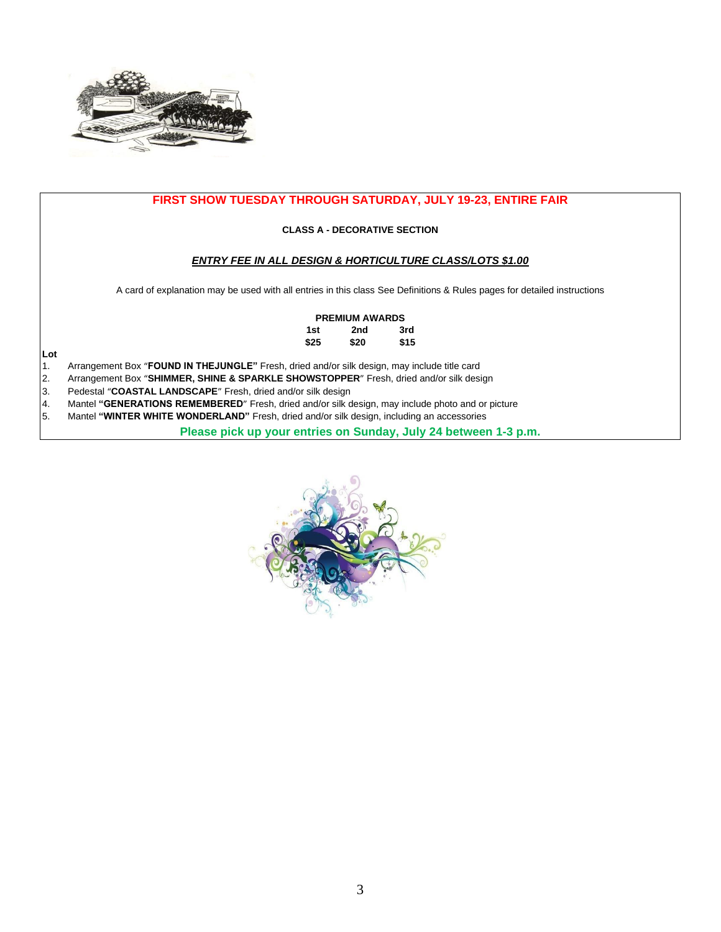

### **FIRST SHOW TUESDAY THROUGH SATURDAY, JULY 19-23, ENTIRE FAIR**

### **CLASS A - DECORATIVE SECTION**

### *ENTRY FEE IN ALL DESIGN & HORTICULTURE CLASS/LOTS \$1.00*

A card of explanation may be used with all entries in this class See Definitions & Rules pages for detailed instructions

### **PREMIUM AWARDS**

| 1st  | 2nd  | 3rd  |
|------|------|------|
| \$25 | \$20 | \$15 |

**Lot** 

- 1. Arrangement Box "**FOUND IN THEJUNGLE"** Fresh, dried and/or silk design, may include title card
- 2. Arrangement Box "**SHIMMER, SHINE & SPARKLE SHOWSTOPPER**" Fresh, dried and/or silk design
- Pedestal "COASTAL LANDSCAPE" Fresh, dried and/or silk design
- 4. Mantel **"GENERATIONS REMEMBERED**" Fresh, dried and/or silk design, may include photo and or picture 5. Mantel "WINTER WHITE WONDERLAND" Fresh, dried and/or silk design, including an accessories
- 5. Mantel **"WINTER WHITE WONDERLAND"** Fresh, dried and/or silk design, including an accessories

**Please pick up your entries on Sunday, July 24 between 1-3 p.m.** 

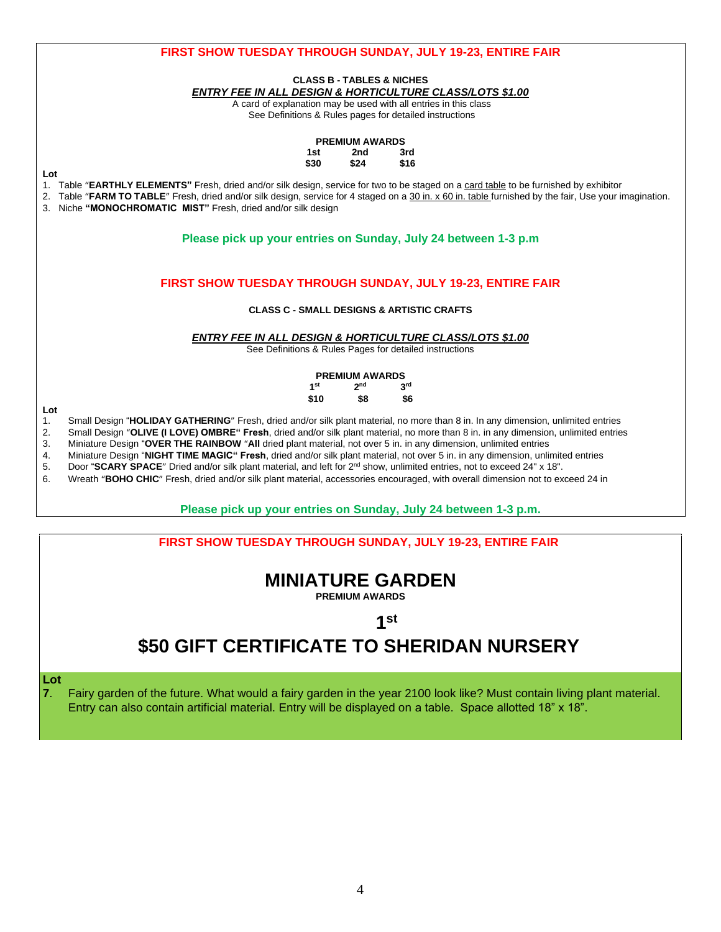

### **Please pick up your entries on Sunday, July 24 between 1-3 p.m.**

### **FIRST SHOW TUESDAY THROUGH SUNDAY, JULY 19-23, ENTIRE FAIR**

## **MINIATURE GARDEN**

**PREMIUM AWARDS** 

# **1**st

# **\$50 GIFT CERTIFICATE TO SHERIDAN NURSERY**

**Lot** 

**7**. Fairy garden of the future. What would a fairy garden in the year 2100 look like? Must contain living plant material. Entry can also contain artificial material. Entry will be displayed on a table. Space allotted 18" x 18".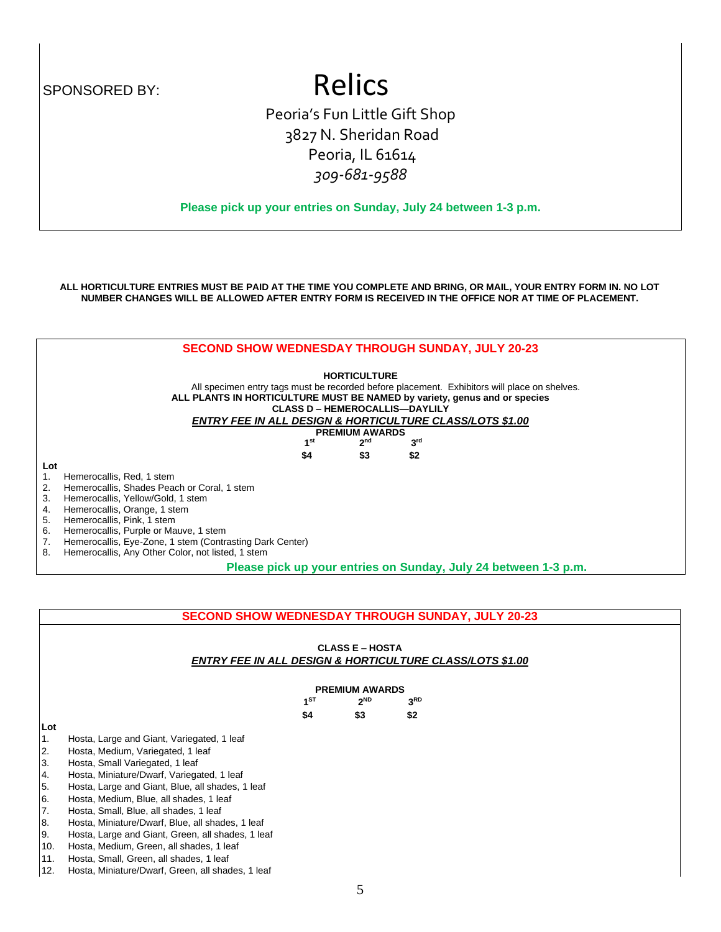# SPONSORED BY: Relics

Peoria's Fun Little Gift Shop 3827 N. Sheridan Road Peoria, IL 61614 *309-681-9588*

**Please pick up your entries on Sunday, July 24 between 1-3 p.m.**

**ALL HORTICULTURE ENTRIES MUST BE PAID AT THE TIME YOU COMPLETE AND BRING, OR MAIL, YOUR ENTRY FORM IN. NO LOT NUMBER CHANGES WILL BE ALLOWED AFTER ENTRY FORM IS RECEIVED IN THE OFFICE NOR AT TIME OF PLACEMENT.**



|                |                                                   |                        | <b>SECOND SHOW WEDNESDAY THROUGH SUNDAY, JULY 20-23</b>             |
|----------------|---------------------------------------------------|------------------------|---------------------------------------------------------------------|
|                |                                                   | <b>CLASS E – HOSTA</b> | <b>ENTRY FEE IN ALL DESIGN &amp; HORTICULTURE CLASS/LOTS \$1.00</b> |
|                |                                                   | <b>PREMIUM AWARDS</b>  |                                                                     |
|                | $1^{ST}$                                          | $2^{ND}$               | 3 <sup>RD</sup>                                                     |
|                | \$4                                               | \$3                    | \$2                                                                 |
| Lot            |                                                   |                        |                                                                     |
| 1 <sub>1</sub> | Hosta, Large and Giant, Variegated, 1 leaf        |                        |                                                                     |
| 2.             | Hosta, Medium, Variegated, 1 leaf                 |                        |                                                                     |
| 3.             | Hosta, Small Variegated, 1 leaf                   |                        |                                                                     |
| 4.             | Hosta, Miniature/Dwarf, Variegated, 1 leaf        |                        |                                                                     |
| 5.             | Hosta, Large and Giant, Blue, all shades, 1 leaf  |                        |                                                                     |
| 6.             | Hosta, Medium, Blue, all shades, 1 leaf           |                        |                                                                     |
| 7.             | Hosta, Small, Blue, all shades, 1 leaf            |                        |                                                                     |
| 8.             | Hosta, Miniature/Dwarf, Blue, all shades, 1 leaf  |                        |                                                                     |
| 9.             | Hosta, Large and Giant, Green, all shades, 1 leaf |                        |                                                                     |
| $\sqrt{2}$     | Heete Medium Creep allebedes 1 leef               |                        |                                                                     |

Hosta, Medium, Green, all shades, 1 leaf

11. Hosta, Small, Green, all shades, 1 leaf

12. Hosta, Miniature/Dwarf, Green, all shades, 1 leaf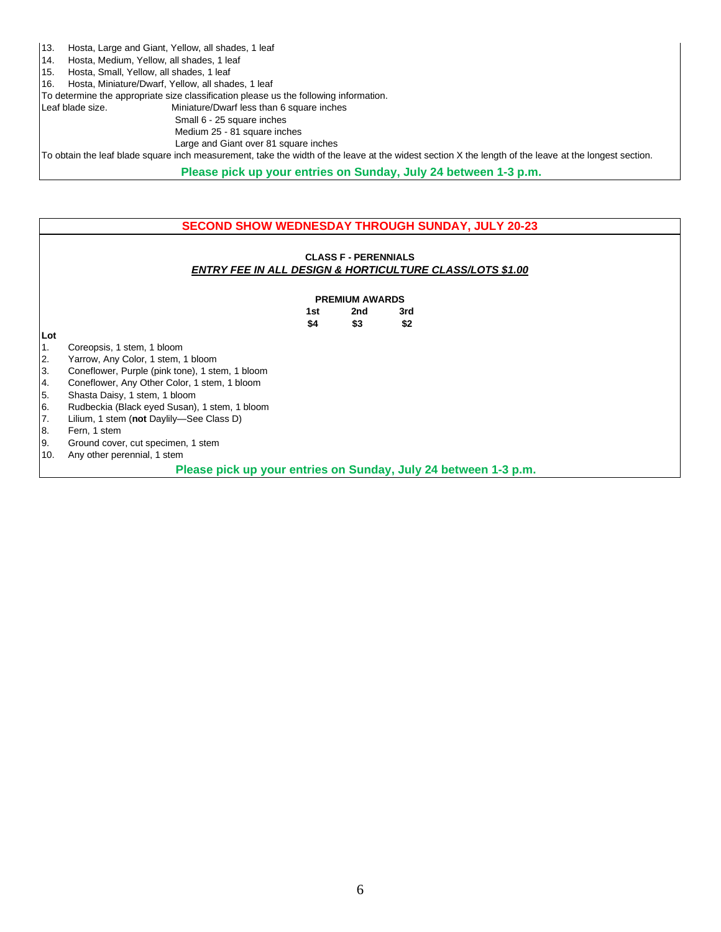- 13. Hosta, Large and Giant, Yellow, all shades, 1 leaf
- 14. Hosta, Medium, Yellow, all shades, 1 leaf
- 15. Hosta, Small, Yellow, all shades, 1 leaf

16. Hosta, Miniature/Dwarf, Yellow, all shades, 1 leaf

To determine the appropriate size classification please us the following information.

Leaf blade size. Miniature/Dwarf less than 6 square inches

 Small 6 - 25 square inches Medium 25 - 81 square inches

Large and Giant over 81 square inches

To obtain the leaf blade square inch measurement, take the width of the leave at the widest section X the length of the leave at the longest section.

**Please pick up your entries on Sunday, July 24 between 1-3 p.m.**

### **SECOND SHOW WEDNESDAY THROUGH SUNDAY, JULY 20-23**

### **CLASS F - PERENNIALS**  *ENTRY FEE IN ALL DESIGN & HORTICULTURE CLASS/LOTS \$1.00*

| <b>PREMIUM AWARDS</b> |     |     |  |  |
|-----------------------|-----|-----|--|--|
| 1st                   | 2nd | 3rd |  |  |
| \$4                   | \$3 | \$2 |  |  |

### **Lot**

- 1. Coreopsis, 1 stem, 1 bloom
- 2. Yarrow, Any Color, 1 stem, 1 bloom
- 3. Coneflower, Purple (pink tone), 1 stem, 1 bloom<br>4. Coneflower, Any Other Color, 1 stem, 1 bloom
- 4. Coneflower, Any Other Color, 1 stem, 1 bloom
- 5. Shasta Daisy, 1 stem, 1 bloom
- 6. Rudbeckia (Black eyed Susan), 1 stem, 1 bloom
- 7. Lilium, 1 stem (**not** Daylily—See Class D)
- 8. Fern, 1 stem
- 9. Ground cover, cut specimen, 1 stem
- 10. Any other perennial, 1 stem

 **Please pick up your entries on Sunday, July 24 between 1-3 p.m.**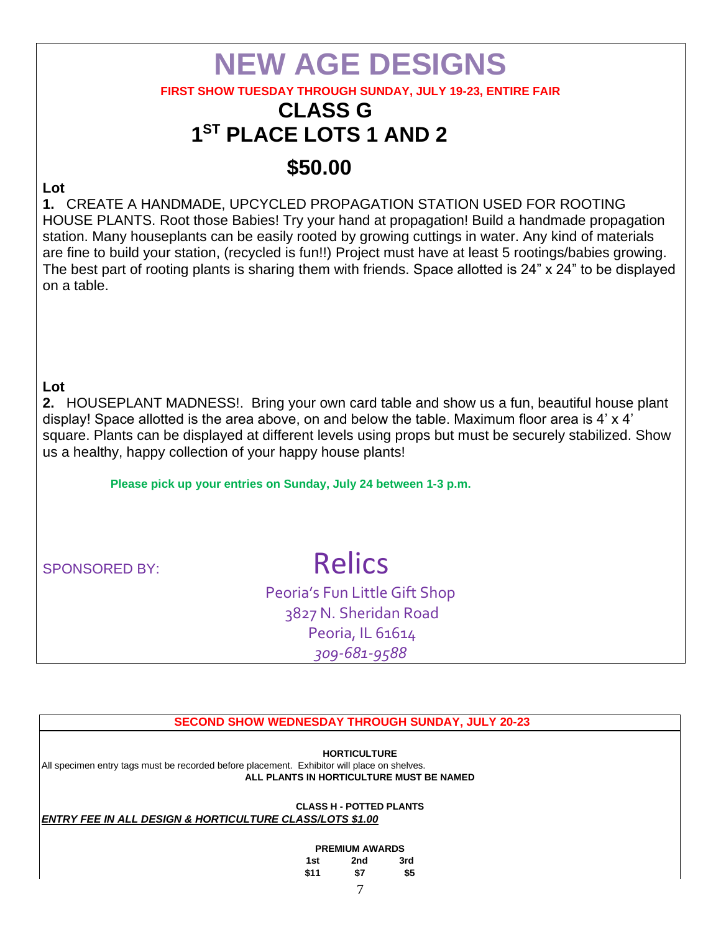# **NEW AGE DESIGNS**

### **FIRST SHOW TUESDAY THROUGH SUNDAY, JULY 19-23, ENTIRE FAIR**

# **CLASS G 1 ST PLACE LOTS 1 AND 2**

# **\$50.00**

### **Lot**

**1.** CREATE A HANDMADE, UPCYCLED PROPAGATION STATION USED FOR ROOTING HOUSE PLANTS. Root those Babies! Try your hand at propagation! Build a handmade propagation station. Many houseplants can be easily rooted by growing cuttings in water. Any kind of materials are fine to build your station, (recycled is fun!!) Project must have at least 5 rootings/babies growing. The best part of rooting plants is sharing them with friends. Space allotted is 24" x 24" to be displayed on a table.

### **Lot**

**2.** HOUSEPLANT MADNESS!. Bring your own card table and show us a fun, beautiful house plant display! Space allotted is the area above, on and below the table. Maximum floor area is 4' x 4' square. Plants can be displayed at different levels using props but must be securely stabilized. Show us a healthy, happy collection of your happy house plants!

**Please pick up your entries on Sunday, July 24 between 1-3 p.m.**

# SPONSORED BY: Relics

Peoria's Fun Little Gift Shop 3827 N. Sheridan Road Peoria, IL 61614 *309-681-9588*

### **SECOND SHOW WEDNESDAY THROUGH SUNDAY, JULY 20-23**

**HORTICULTURE** 

All specimen entry tags must be recorded before placement. Exhibitor will place on shelves. **ALL PLANTS IN HORTICULTURE MUST BE NAMED** 

**CLASS H - POTTED PLANTS** 

### *ENTRY FEE IN ALL DESIGN & HORTICULTURE CLASS/LOTS \$1.00*

### **PREMIUM AWARDS**

| 1st  | 2nd | 3rd |
|------|-----|-----|
| \$11 | \$7 | \$5 |
|      | −   |     |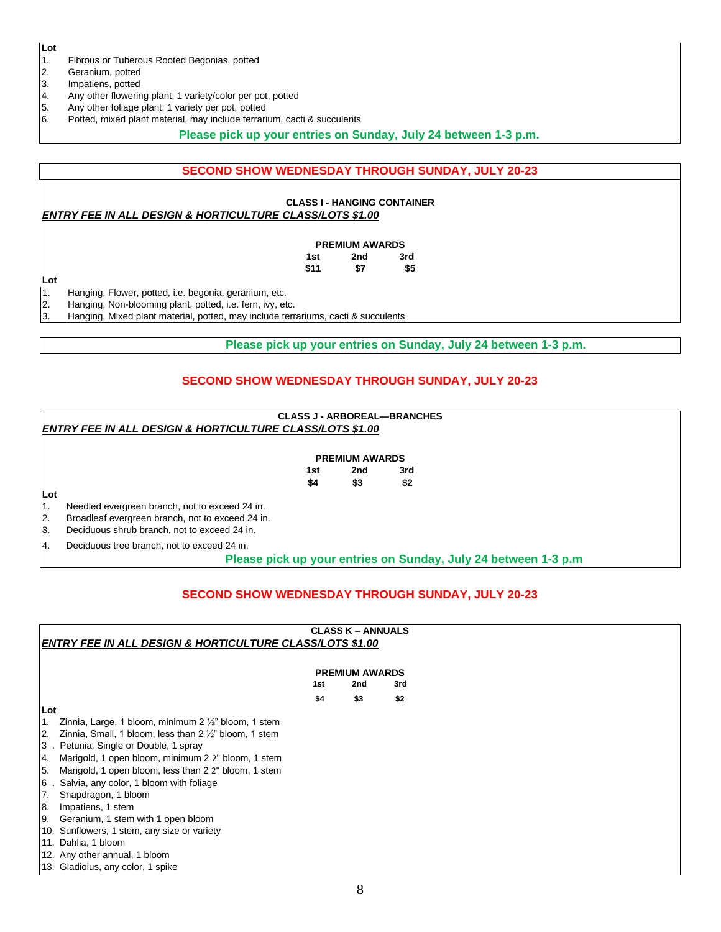**Lot** 

1. Fibrous or Tuberous Rooted Begonias, potted

- 2. Geranium, potted
- 3. Impatiens, potted
- 4. Any other flowering plant, 1 variety/color per pot, potted
- 5. Any other foliage plant, 1 variety per pot, potted
- 6. Potted, mixed plant material, may include terrarium, cacti & succulents

### **Please pick up your entries on Sunday, July 24 between 1-3 p.m.**

### **SECOND SHOW WEDNESDAY THROUGH SUNDAY, JULY 20-23**

## **CLASS I - HANGING CONTAINER**

### *ENTRY FEE IN ALL DESIGN & HORTICULTURE CLASS/LOTS \$1.00*

|      | <b>PREMIUM AWARDS</b> |     |  |  |  |
|------|-----------------------|-----|--|--|--|
| 1st  | 2nd                   | 3rd |  |  |  |
| \$11 | \$7                   | \$5 |  |  |  |

**Lot**  1. Hanging, Flower, potted, i.e. begonia, geranium, etc.

2. Hanging, Non-blooming plant, potted, i.e. fern, ivy, etc.

3. Hanging, Mixed plant material, potted, may include terrariums, cacti & succulents

**Please pick up your entries on Sunday, July 24 between 1-3 p.m.**

### **SECOND SHOW WEDNESDAY THROUGH SUNDAY, JULY 20-23**

### **CLASS J - ARBOREAL—BRANCHES**  *ENTRY FEE IN ALL DESIGN & HORTICULTURE CLASS/LOTS \$1.00*

|     | <b>PREMIUM AWARDS</b> |     |
|-----|-----------------------|-----|
| 1st | 2nd                   | 3rd |
| \$4 | \$3                   | \$2 |

**Lot** 

1. Needled evergreen branch, not to exceed 24 in.

2. Broadleaf evergreen branch, not to exceed 24 in.

3. Deciduous shrub branch, not to exceed 24 in.

4. Deciduous tree branch, not to exceed 24 in.

 **Please pick up your entries on Sunday, July 24 between 1-3 p.m**

### **SECOND SHOW WEDNESDAY THROUGH SUNDAY, JULY 20-23**

|                                                                       |     | <b>CLASS K - ANNUALS</b> |     |  |  |  |
|-----------------------------------------------------------------------|-----|--------------------------|-----|--|--|--|
| ENTRY FEE IN ALL DESIGN & HORTICULTURE CLASS/LOTS \$1.00              |     |                          |     |  |  |  |
|                                                                       |     |                          |     |  |  |  |
|                                                                       |     | <b>PREMIUM AWARDS</b>    |     |  |  |  |
|                                                                       | 1st | 2nd                      | 3rd |  |  |  |
|                                                                       | \$4 | \$3                      | \$2 |  |  |  |
| Lot                                                                   |     |                          |     |  |  |  |
| Zinnia, Large, 1 bloom, minimum $2\frac{1}{2}$ " bloom, 1 stem<br>I1. |     |                          |     |  |  |  |
| Zinnia, Small, 1 bloom, less than 2 1/2" bloom, 1 stem<br>12.         |     |                          |     |  |  |  |
| 3. Petunia, Single or Double, 1 spray                                 |     |                          |     |  |  |  |
| Marigold, 1 open bloom, minimum 2 2" bloom, 1 stem<br>4.              |     |                          |     |  |  |  |
| Marigold, 1 open bloom, less than 2 2" bloom, 1 stem<br><b>5.</b>     |     |                          |     |  |  |  |
| 6. Salvia, any color, 1 bloom with foliage                            |     |                          |     |  |  |  |
| Snapdragon, 1 bloom<br>17.                                            |     |                          |     |  |  |  |
| Impatiens, 1 stem<br>8.                                               |     |                          |     |  |  |  |
| 9. Geranium, 1 stem with 1 open bloom                                 |     |                          |     |  |  |  |
| 10. Sunflowers, 1 stem, any size or variety                           |     |                          |     |  |  |  |
| 11. Dahlia, 1 bloom                                                   |     |                          |     |  |  |  |
| 12. Any other annual, 1 bloom                                         |     |                          |     |  |  |  |
| 13. Gladiolus, any color, 1 spike                                     |     |                          |     |  |  |  |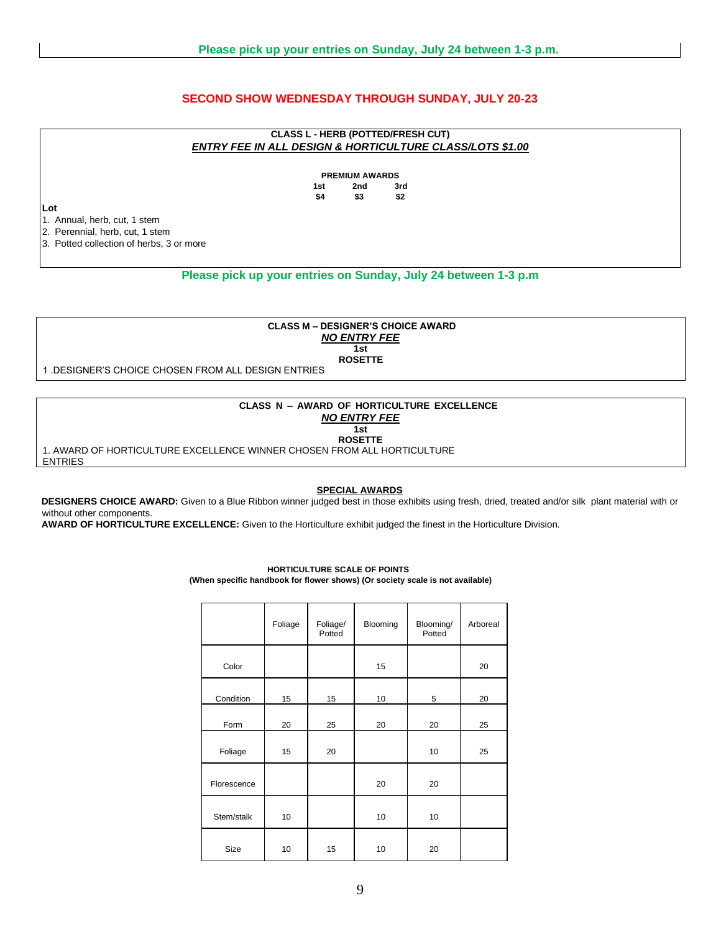### **SECOND SHOW WEDNESDAY THROUGH SUNDAY, JULY 20-23**

### **CLASS L - HERB (POTTED/FRESH CUT)**  *ENTRY FEE IN ALL DESIGN & HORTICULTURE CLASS/LOTS \$1.00*

**PREMIUM AWARDS 1st 2nd 3rd \$4 \$3 \$2** 

**Lot** 

1. Annual, herb, cut, 1 stem

2. Perennial, herb, cut, 1 stem

3. Potted collection of herbs, 3 or more

### **Please pick up your entries on Sunday, July 24 between 1-3 p.m**

**CLASS M – DESIGNER'S CHOICE AWARD**  *NO ENTRY FEE*  **1st ROSETTE** 

1 .DESIGNER'S CHOICE CHOSEN FROM ALL DESIGN ENTRIES

### **CLASS N – AWARD OF HORTICULTURE EXCELLENCE**  *NO ENTRY FEE*

**1st ROSETTE** 

1. AWARD OF HORTICULTURE EXCELLENCE WINNER CHOSEN FROM ALL HORTICULTURE ENTRIES

#### **SPECIAL AWARDS**

**DESIGNERS CHOICE AWARD:** Given to a Blue Ribbon winner judged best in those exhibits using fresh, dried, treated and/or silk plant material with or without other components.

**AWARD OF HORTICULTURE EXCELLENCE:** Given to the Horticulture exhibit judged the finest in the Horticulture Division.

# Foliage Foliage/ Potted Blooming Blooming/ **Potted** Arboreal Color | | | 15 | | 20 Condition 15 15 10 5 20 Form 20 25 20 20 25 Foliage 15 20 10 25 Florescence **20** 20 20 Stem/stalk 10 10 10 10 Size | 10 | 15 | 10 | 20

### **HORTICULTURE SCALE OF POINTS (When specific handbook for flower shows) (Or society scale is not available)**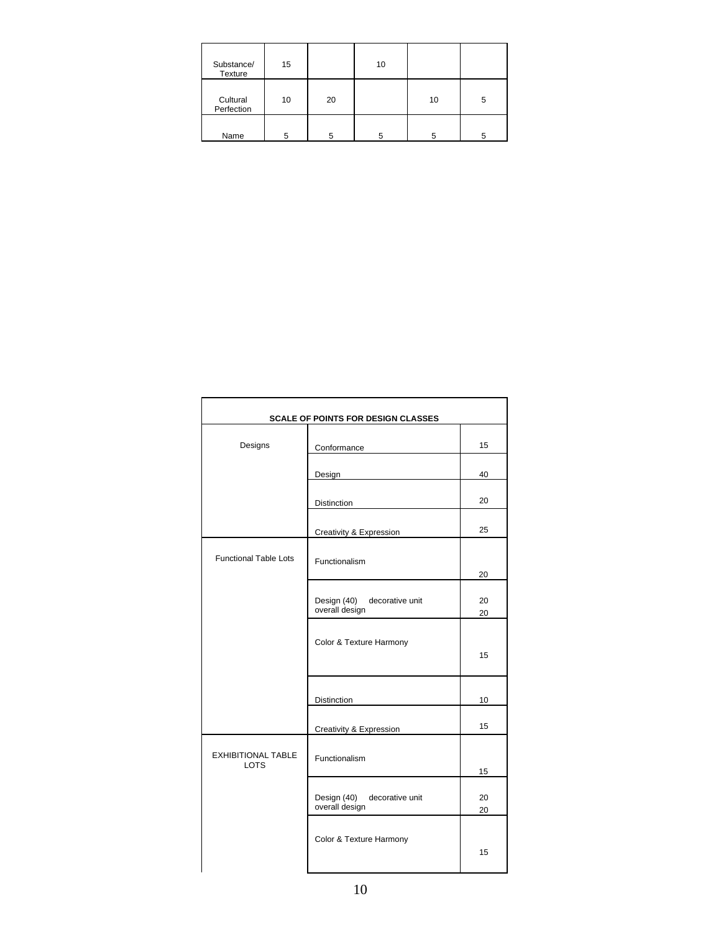| Substance/<br>Texture  | 15 |    | 10 |    |   |
|------------------------|----|----|----|----|---|
| Cultural<br>Perfection | 10 | 20 |    | 10 | 5 |
| Name                   | 5  | 5  | 5  | 5  | 5 |

| <b>SCALE OF POINTS FOR DESIGN CLASSES</b> |                                                  |          |  |  |  |
|-------------------------------------------|--------------------------------------------------|----------|--|--|--|
| Designs                                   | Conformance                                      | 15       |  |  |  |
|                                           | Design                                           | 40       |  |  |  |
|                                           | Distinction                                      | 20       |  |  |  |
|                                           | Creativity & Expression                          | 25       |  |  |  |
| <b>Functional Table Lots</b>              | Functionalism                                    | 20       |  |  |  |
|                                           | Design (40) decorative unit<br>overall design    | 20<br>20 |  |  |  |
|                                           | Color & Texture Harmony                          | 15       |  |  |  |
|                                           | <b>Distinction</b>                               | 10       |  |  |  |
|                                           | Creativity & Expression                          | 15       |  |  |  |
| <b>EXHIBITIONAL TABLE</b><br><b>LOTS</b>  | Functionalism                                    | 15       |  |  |  |
|                                           | Design (40)<br>decorative unit<br>overall design | 20<br>20 |  |  |  |
|                                           | Color & Texture Harmony                          | 15       |  |  |  |